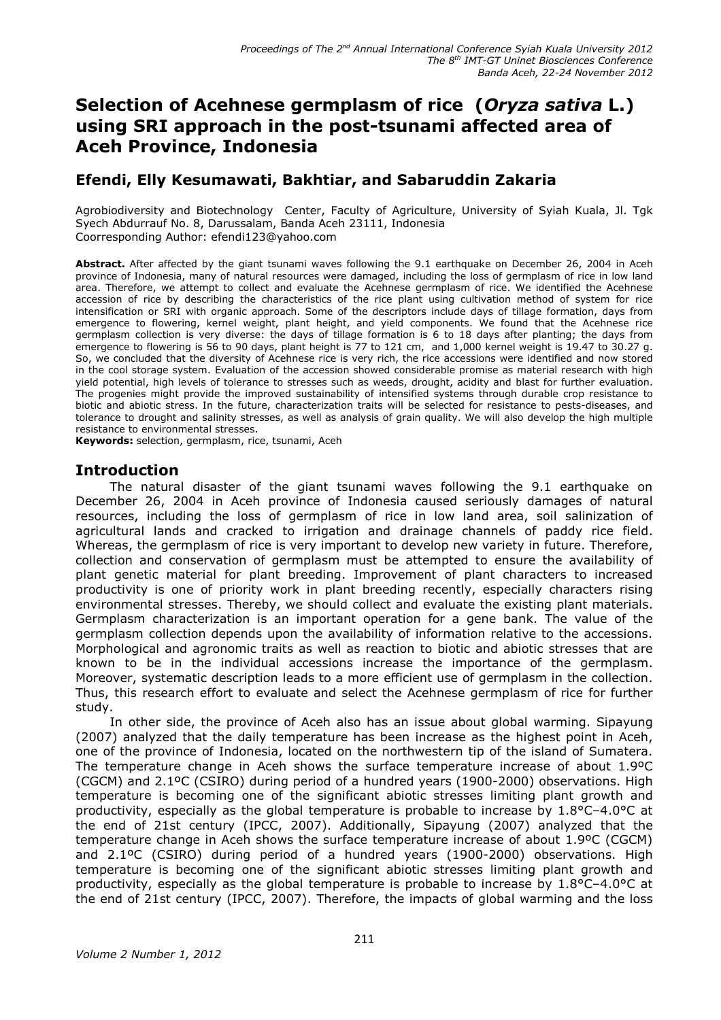# Selection of Acehnese germplasm of rice (Oryza sativa L.) using SRI approach in the post-tsunami affected area of **Aceh Province, Indonesia**

# Efendi, Elly Kesumawati, Bakhtiar, and Sabaruddin Zakaria

Agrobiodiversity and Biotechnology Center, Faculty of Agriculture, University of Syiah Kuala, Jl. Tqk Syech Abdurrauf No. 8, Darussalam, Banda Aceh 23111, Indonesia Coorresponding Author: efendi123@yahoo.com

Abstract. After affected by the giant tsunami waves following the 9.1 earthquake on December 26, 2004 in Aceh province of Indonesia, many of natural resources were damaged, including the loss of germplasm of rice in low land area. Therefore, we attempt to collect and evaluate the Acehnese germplasm of rice. We identified the Acehnese accession of rice by describing the characteristics of the rice plant using cultivation method of system for rice intensification or SRI with organic approach. Some of the descriptors include days of tillage formation, days from emergence to flowering, kernel weight, plant height, and yield components. We found that the Acehnese rice germplasm collection is very diverse: the days of tillage formation is 6 to 18 days after planting; the days from emergence to flowering is 56 to 90 days, plant height is 77 to 121 cm, and 1,000 kernel weight is 19.47 to 30.27 g. So, we concluded that the diversity of Acehnese rice is very rich, the rice accessions were identified and now stored in the cool storage system. Evaluation of the accession showed considerable promise as material research with high yield potential, high levels of tolerance to stresses such as weeds, drought, acidity and blast for further evaluation. The progenies might provide the improved sustainability of intensified systems through durable crop resistance to biotic and abiotic stress. In the future, characterization traits will be selected for resistance to pests-diseases, and tolerance to drought and salinity stresses, as well as analysis of grain quality. We will also develop the high multiple resistance to environmental stresses.

Keywords: selection, germplasm, rice, tsunami, Aceh

### **Introduction**

The natural disaster of the giant tsunami waves following the 9.1 earthquake on December 26, 2004 in Aceh province of Indonesia caused seriously damages of natural resources, including the loss of germplasm of rice in low land area, soil salinization of agricultural lands and cracked to irrigation and drainage channels of paddy rice field. Whereas, the germplasm of rice is very important to develop new variety in future. Therefore, collection and conservation of germplasm must be attempted to ensure the availability of plant genetic material for plant breeding. Improvement of plant characters to increased productivity is one of priority work in plant breeding recently, especially characters rising environmental stresses. Thereby, we should collect and evaluate the existing plant materials. Germplasm characterization is an important operation for a gene bank. The value of the germplasm collection depends upon the availability of information relative to the accessions. Morphological and agronomic traits as well as reaction to biotic and abiotic stresses that are known to be in the individual accessions increase the importance of the germplasm. Moreover, systematic description leads to a more efficient use of germplasm in the collection. Thus, this research effort to evaluate and select the Acehnese germplasm of rice for further study.

In other side, the province of Aceh also has an issue about global warming. Sipayung (2007) analyzed that the daily temperature has been increase as the highest point in Aceh, one of the province of Indonesia, located on the northwestern tip of the island of Sumatera. The temperature change in Aceh shows the surface temperature increase of about 1.9ºC (CGCM) and 2.1ºC (CSIRO) during period of a hundred years (1900-2000) observations. High temperature is becoming one of the significant abiotic stresses limiting plant growth and productivity, especially as the global temperature is probable to increase by 1.8°C-4.0°C at the end of 21st century (IPCC, 2007). Additionally, Sipayung (2007) analyzed that the temperature change in Aceh shows the surface temperature increase of about 1.9ºC (CGCM) and 2.1ºC (CSIRO) during period of a hundred years (1900-2000) observations. High temperature is becoming one of the significant abiotic stresses limiting plant growth and productivity, especially as the global temperature is probable to increase by  $1.8^{\circ}$ C-4.0°C at the end of 21st century (IPCC, 2007). Therefore, the impacts of global warming and the loss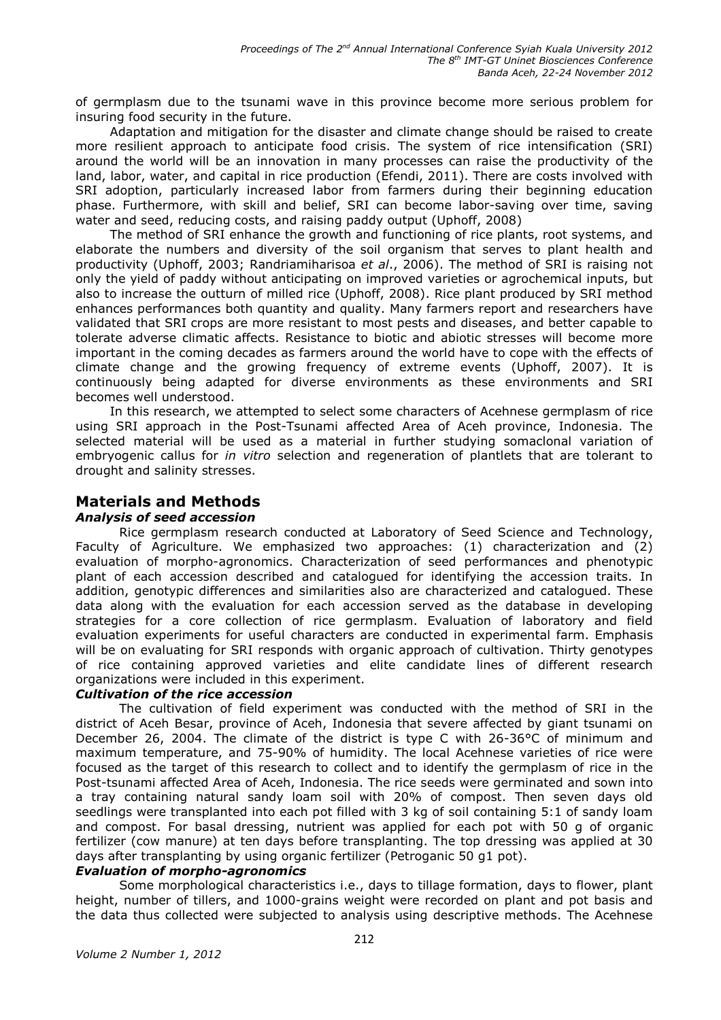of germplasm due to the tsunami wave in this province become more serious problem for insuring food security in the future.

Adaptation and mitigation for the disaster and climate change should be raised to create more resilient approach to anticipate food crisis. The system of rice intensification (SRI) around the world will be an innovation in many processes can raise the productivity of the land, labor, water, and capital in rice production (Efendi, 2011). There are costs involved with SRI adoption, particularly increased labor from farmers during their beginning education phase. Furthermore, with skill and belief, SRI can become labor-saving over time, saving water and seed, reducing costs, and raising paddy output (Uphoff, 2008)

The method of SRI enhance the growth and functioning of rice plants, root systems, and elaborate the numbers and diversity of the soil organism that serves to plant health and productivity (Uphoff, 2003; Randriamiharisoa et al., 2006). The method of SRI is raising not only the yield of paddy without anticipating on improved varieties or agrochemical inputs, but also to increase the outturn of milled rice (Uphoff, 2008). Rice plant produced by SRI method enhances performances both quantity and quality. Many farmers report and researchers have validated that SRI crops are more resistant to most pests and diseases, and better capable to tolerate adverse climatic affects. Resistance to biotic and abiotic stresses will become more important in the coming decades as farmers around the world have to cope with the effects of climate change and the growing frequency of extreme events (Uphoff, 2007). It is continuously being adapted for diverse environments as these environments and SRI becomes well understood.

In this research, we attempted to select some characters of Acehnese germplasm of rice using SRI approach in the Post-Tsunami affected Area of Aceh province, Indonesia. The selected material will be used as a material in further studying somaclonal variation of embryogenic callus for in vitro selection and regeneration of plantlets that are tolerant to drought and salinity stresses.

### **Materials and Methods**

#### **Analysis of seed accession**

Rice germplasm research conducted at Laboratory of Seed Science and Technology, Faculty of Agriculture. We emphasized two approaches: (1) characterization and (2) evaluation of morpho-agronomics. Characterization of seed performances and phenotypic plant of each accession described and catalogued for identifying the accession traits. In addition, genotypic differences and similarities also are characterized and catalogued. These data along with the evaluation for each accession served as the database in developing strategies for a core collection of rice germplasm. Evaluation of laboratory and field evaluation experiments for useful characters are conducted in experimental farm. Emphasis will be on evaluating for SRI responds with organic approach of cultivation. Thirty genotypes of rice containing approved varieties and elite candidate lines of different research organizations were included in this experiment.

### **Cultivation of the rice accession**

The cultivation of field experiment was conducted with the method of SRI in the district of Aceh Besar, province of Aceh, Indonesia that severe affected by giant tsunami on December 26, 2004. The climate of the district is type C with 26-36 °C of minimum and maximum temperature, and 75-90% of humidity. The local Acehnese varieties of rice were focused as the target of this research to collect and to identify the germplasm of rice in the Post-tsunami affected Area of Aceh, Indonesia. The rice seeds were germinated and sown into a tray containing natural sandy loam soil with 20% of compost. Then seven days old seedlings were transplanted into each pot filled with 3 kg of soil containing 5:1 of sandy loam and compost. For basal dressing, nutrient was applied for each pot with 50 g of organic fertilizer (cow manure) at ten days before transplanting. The top dressing was applied at 30 days after transplanting by using organic fertilizer (Petroganic 50 g1 pot).

#### **Evaluation of morpho-agronomics**

Some morphological characteristics i.e., days to tillage formation, days to flower, plant height, number of tillers, and 1000-grains weight were recorded on plant and pot basis and the data thus collected were subjected to analysis using descriptive methods. The Acehnese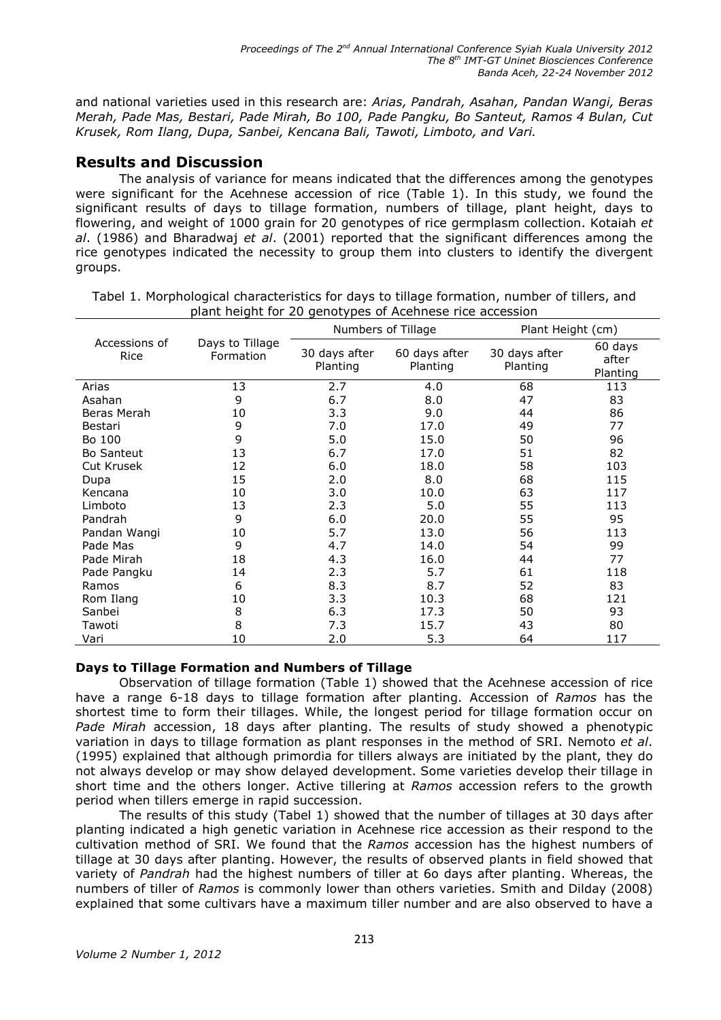and national varieties used in this research are: Arias, Pandrah, Asahan, Pandan Wangi, Beras Merah, Pade Mas, Bestari, Pade Mirah, Bo 100, Pade Pangku, Bo Santeut, Ramos 4 Bulan, Cut Krusek, Rom Ilang, Dupa, Sanbei, Kencana Bali, Tawoti, Limboto, and Vari.

# **Results and Discussion**

The analysis of variance for means indicated that the differences among the genotypes were significant for the Acehnese accession of rice (Table 1). In this study, we found the significant results of days to tillage formation, numbers of tillage, plant height, days to flowering, and weight of 1000 grain for 20 genotypes of rice germplasm collection. Kotaiah et al. (1986) and Bharadwaj et al. (2001) reported that the significant differences among the rice genotypes indicated the necessity to group them into clusters to identify the divergent groups.

|                       | Days to Tillage<br>Formation | Numbers of Tillage        |                           | Plant Height (cm)         |                              |
|-----------------------|------------------------------|---------------------------|---------------------------|---------------------------|------------------------------|
| Accessions of<br>Rice |                              | 30 days after<br>Planting | 60 days after<br>Planting | 30 days after<br>Planting | 60 days<br>after<br>Planting |
| Arias                 | 13                           | 2.7                       | 4.0                       | 68                        | 113                          |
| Asahan                | 9                            | 6.7                       | 8.0                       | 47                        | 83                           |
| Beras Merah           | 10                           | 3.3                       | 9.0                       | 44                        | 86                           |
| Bestari               | 9                            | 7.0                       | 17.0                      | 49                        | 77                           |
| Bo 100                | 9                            | 5.0                       | 15.0                      | 50                        | 96                           |
| <b>Bo Santeut</b>     | 13                           | 6.7                       | 17.0                      | 51                        | 82                           |
| Cut Krusek            | 12                           | 6.0                       | 18.0                      | 58                        | 103                          |
| Dupa                  | 15                           | 2.0                       | 8.0                       | 68                        | 115                          |
| Kencana               | 10                           | 3.0                       | 10.0                      | 63                        | 117                          |
| Limboto               | 13                           | 2.3                       | 5.0                       | 55                        | 113                          |
| Pandrah               | 9                            | 6.0                       | 20.0                      | 55                        | 95                           |
| Pandan Wangi          | 10                           | 5.7                       | 13.0                      | 56                        | 113                          |
| Pade Mas              | 9                            | 4.7                       | 14.0                      | 54                        | 99                           |
| Pade Mirah            | 18                           | 4.3                       | 16.0                      | 44                        | 77                           |
| Pade Pangku           | 14                           | 2.3                       | 5.7                       | 61                        | 118                          |
| Ramos                 | 6                            | 8.3                       | 8.7                       | 52                        | 83                           |
| Rom Ilang             | 10                           | 3.3                       | 10.3                      | 68                        | 121                          |
| Sanbei                | 8                            | 6.3                       | 17.3                      | 50                        | 93                           |
| Tawoti                | 8                            | 7.3                       | 15.7                      | 43                        | 80                           |
| Vari                  | 10                           | 2.0                       | 5.3                       | 64                        | 117                          |

Tabel 1. Morphological characteristics for days to tillage formation, number of tillers, and plant height for 20 genotypes of Acehnese rice accession

### Days to Tillage Formation and Numbers of Tillage

Observation of tillage formation (Table 1) showed that the Acehnese accession of rice have a range 6-18 days to tillage formation after planting. Accession of Ramos has the shortest time to form their tillages. While, the longest period for tillage formation occur on Pade Mirah accession, 18 days after planting. The results of study showed a phenotypic variation in days to tillage formation as plant responses in the method of SRI. Nemoto et al. (1995) explained that although primordia for tillers always are initiated by the plant, they do not always develop or may show delayed development. Some varieties develop their tillage in short time and the others longer. Active tillering at Ramos accession refers to the growth period when tillers emerge in rapid succession.

The results of this study (Tabel 1) showed that the number of tillages at 30 days after planting indicated a high genetic variation in Acehnese rice accession as their respond to the cultivation method of SRI. We found that the Ramos accession has the highest numbers of tillage at 30 days after planting. However, the results of observed plants in field showed that variety of Pandrah had the highest numbers of tiller at 60 days after planting. Whereas, the numbers of tiller of Ramos is commonly lower than others varieties. Smith and Dilday (2008) explained that some cultivars have a maximum tiller number and are also observed to have a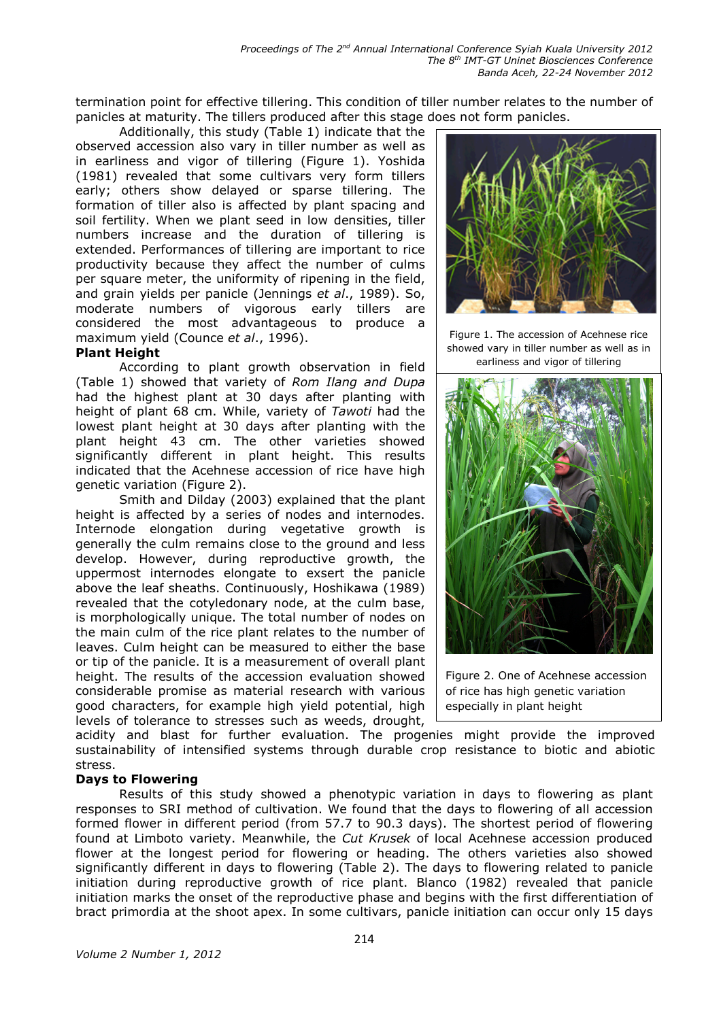termination point for effective tillering. This condition of tiller number relates to the number of panicles at maturity. The tillers produced after this stage does not form panicles.

Additionally, this study (Table 1) indicate that the observed accession also vary in tiller number as well as in earliness and vigor of tillering (Figure 1). Yoshida (1981) revealed that some cultivars very form tillers early; others show delayed or sparse tillering. The formation of tiller also is affected by plant spacing and soil fertility. When we plant seed in low densities, tiller numbers increase and the duration of tillering is extended. Performances of tillering are important to rice productivity because they affect the number of culms per square meter, the uniformity of ripening in the field, and grain yields per panicle (Jennings et al., 1989). So, moderate numbers of vigorous early tillers are considered the most advantageous to produce a maximum yield (Counce et al., 1996).

### **Plant Height**

According to plant growth observation in field (Table 1) showed that variety of Rom Ilang and Dupa had the highest plant at 30 days after planting with height of plant 68 cm. While, variety of Tawoti had the lowest plant height at 30 days after planting with the plant height 43 cm. The other varieties showed significantly different in plant height. This results indicated that the Acehnese accession of rice have high genetic variation (Figure 2).

Smith and Dilday (2003) explained that the plant height is affected by a series of nodes and internodes. Internode elongation during vegetative growth is generally the culm remains close to the ground and less develop. However, during reproductive growth, the uppermost internodes elongate to exsert the panicle above the leaf sheaths. Continuously, Hoshikawa (1989) revealed that the cotyledonary node, at the culm base, is morphologically unique. The total number of nodes on the main culm of the rice plant relates to the number of leaves. Culm height can be measured to either the base or tip of the panicle. It is a measurement of overall plant height. The results of the accession evaluation showed considerable promise as material research with various good characters, for example high yield potential, high levels of tolerance to stresses such as weeds, drought,



Figure 1. The accession of Acehnese rice showed vary in tiller number as well as in earliness and vigor of tillering



Figure 2. One of Acehnese accession of rice has high genetic variation especially in plant height

acidity and blast for further evaluation. The progenies might provide the improved sustainability of intensified systems through durable crop resistance to biotic and abiotic stress.

#### **Days to Flowering**

Results of this study showed a phenotypic variation in days to flowering as plant responses to SRI method of cultivation. We found that the days to flowering of all accession formed flower in different period (from 57.7 to 90.3 days). The shortest period of flowering found at Limboto variety. Meanwhile, the Cut Krusek of local Acehnese accession produced flower at the longest period for flowering or heading. The others varieties also showed significantly different in days to flowering (Table 2). The days to flowering related to panicle initiation during reproductive growth of rice plant. Blanco (1982) revealed that panicle initiation marks the onset of the reproductive phase and begins with the first differentiation of bract primordia at the shoot apex. In some cultivars, panicle initiation can occur only 15 days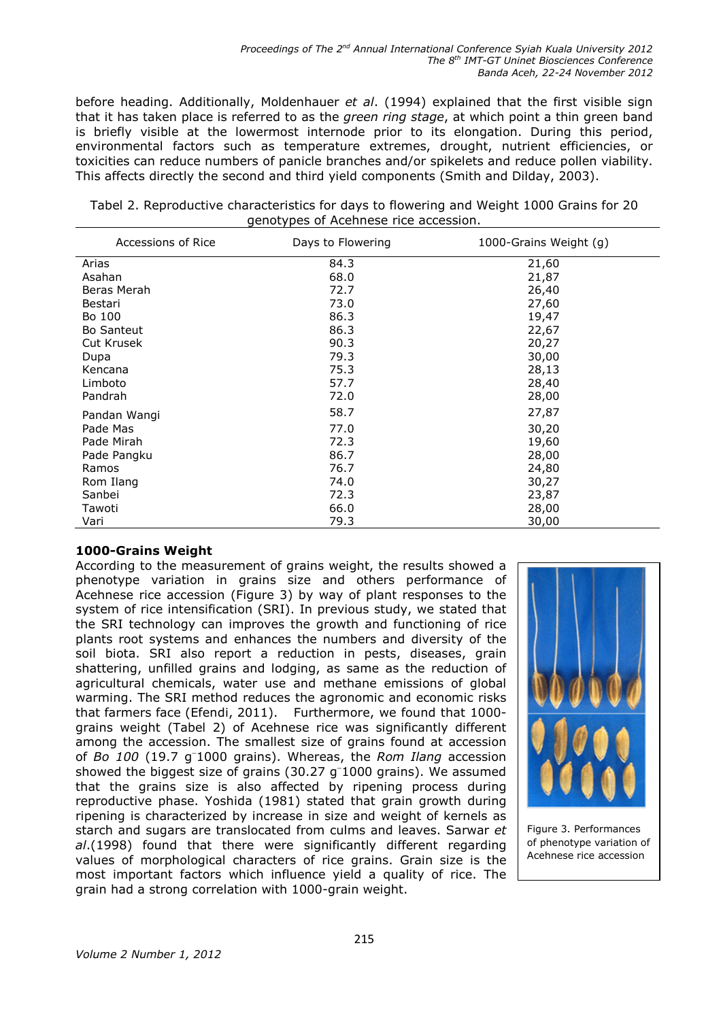before heading. Additionally, Moldenhauer et al. (1994) explained that the first visible sign that it has taken place is referred to as the green ring stage, at which point a thin green band is briefly visible at the lowermost internode prior to its elongation. During this period, environmental factors such as temperature extremes, drought, nutrient efficiencies, or toxicities can reduce numbers of panicle branches and/or spikelets and reduce pollen viability. This affects directly the second and third yield components (Smith and Dilday, 2003).

| Tabel 2. Reproductive characteristics for days to flowering and Weight 1000 Grains for 20 |  |  |  |  |  |  |
|-------------------------------------------------------------------------------------------|--|--|--|--|--|--|
| genotypes of Acehnese rice accession.                                                     |  |  |  |  |  |  |

| Accessions of Rice | Days to Flowering | 1000-Grains Weight (g) |
|--------------------|-------------------|------------------------|
| Arias              | 84.3              | 21,60                  |
| Asahan             | 68.0              | 21,87                  |
| Beras Merah        | 72.7              | 26,40                  |
| Bestari            | 73.0              | 27,60                  |
| Bo 100             | 86.3              | 19,47                  |
| <b>Bo Santeut</b>  | 86.3              | 22,67                  |
| <b>Cut Krusek</b>  | 90.3              | 20,27                  |
| Dupa               | 79.3              | 30,00                  |
| Kencana            | 75.3              | 28,13                  |
| Limboto            | 57.7              | 28,40                  |
| Pandrah            | 72.0              | 28,00                  |
| Pandan Wangi       | 58.7              | 27,87                  |
| Pade Mas           | 77.0              | 30,20                  |
| Pade Mirah         | 72.3              | 19,60                  |
| Pade Pangku        | 86.7              | 28,00                  |
| Ramos              | 76.7              | 24,80                  |
| Rom Ilang          | 74.0              | 30,27                  |
| Sanbei             | 72.3              | 23,87                  |
| Tawoti             | 66.0              | 28,00                  |
| Vari               | 79.3              | 30,00                  |

### 1000-Grains Weight

According to the measurement of grains weight, the results showed a phenotype variation in grains size and others performance of Acehnese rice accession (Figure 3) by way of plant responses to the system of rice intensification (SRI). In previous study, we stated that the SRI technology can improves the growth and functioning of rice plants root systems and enhances the numbers and diversity of the soil biota. SRI also report a reduction in pests, diseases, grain shattering, unfilled grains and lodging, as same as the reduction of agricultural chemicals, water use and methane emissions of global warming. The SRI method reduces the agronomic and economic risks that farmers face (Efendi, 2011). Furthermore, we found that 1000grains weight (Tabel 2) of Acehnese rice was significantly different among the accession. The smallest size of grains found at accession of Bo 100 (19.7 g<sup>-</sup>1000 grains). Whereas, the Rom Ilang accession showed the biggest size of grains  $(30.27 \text{ g}^{-1}000 \text{ grains})$ . We assumed that the grains size is also affected by ripening process during reproductive phase. Yoshida (1981) stated that grain growth during ripening is characterized by increase in size and weight of kernels as starch and sugars are translocated from culms and leaves. Sarwar et al. (1998) found that there were significantly different regarding values of morphological characters of rice grains. Grain size is the most important factors which influence yield a quality of rice. The grain had a strong correlation with 1000-grain weight.